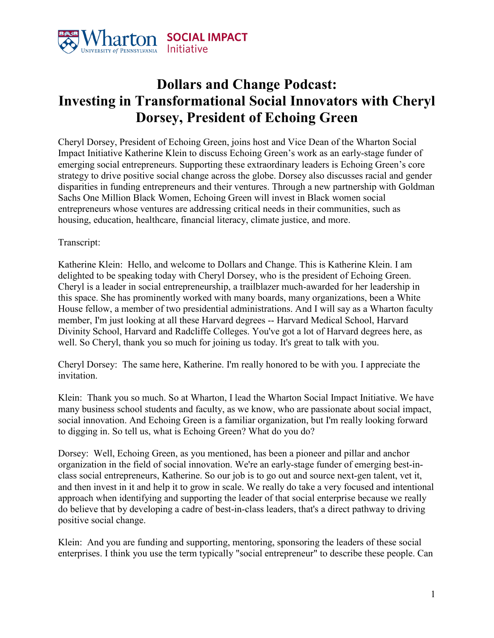

## **Dollars and Change Podcast: Investing in Transformational Social Innovators with Cheryl Dorsey, President of Echoing Green**

Cheryl Dorsey, President of Echoing Green, joins host and Vice Dean of the Wharton Social Impact Initiative Katherine Klein to discuss Echoing Green's work as an early-stage funder of emerging social entrepreneurs. Supporting these extraordinary leaders is Echoing Green's core strategy to drive positive social change across the globe. Dorsey also discusses racial and gender disparities in funding entrepreneurs and their ventures. Through a new partnership with Goldman Sachs One Million Black Women, Echoing Green will invest in Black women social entrepreneurs whose ventures are addressing critical needs in their communities, such as housing, education, healthcare, financial literacy, climate justice, and more.

## Transcript:

Katherine Klein: Hello, and welcome to Dollars and Change. This is Katherine Klein. I am delighted to be speaking today with Cheryl Dorsey, who is the president of Echoing Green. Cheryl is a leader in social entrepreneurship, a trailblazer much-awarded for her leadership in this space. She has prominently worked with many boards, many organizations, been a White House fellow, a member of two presidential administrations. And I will say as a Wharton faculty member, I'm just looking at all these Harvard degrees -- Harvard Medical School, Harvard Divinity School, Harvard and Radcliffe Colleges. You've got a lot of Harvard degrees here, as well. So Cheryl, thank you so much for joining us today. It's great to talk with you.

Cheryl Dorsey: The same here, Katherine. I'm really honored to be with you. I appreciate the invitation.

Klein: Thank you so much. So at Wharton, I lead the Wharton Social Impact Initiative. We have many business school students and faculty, as we know, who are passionate about social impact, social innovation. And Echoing Green is a familiar organization, but I'm really looking forward to digging in. So tell us, what is Echoing Green? What do you do?

Dorsey: Well, Echoing Green, as you mentioned, has been a pioneer and pillar and anchor organization in the field of social innovation. We're an early-stage funder of emerging best-inclass social entrepreneurs, Katherine. So our job is to go out and source next-gen talent, vet it, and then invest in it and help it to grow in scale. We really do take a very focused and intentional approach when identifying and supporting the leader of that social enterprise because we really do believe that by developing a cadre of best-in-class leaders, that's a direct pathway to driving positive social change.

Klein: And you are funding and supporting, mentoring, sponsoring the leaders of these social enterprises. I think you use the term typically "social entrepreneur" to describe these people. Can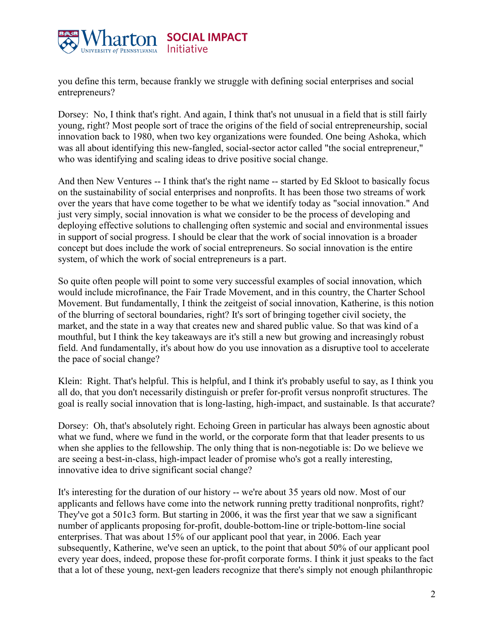

you define this term, because frankly we struggle with defining social enterprises and social entrepreneurs?

Dorsey: No, I think that's right. And again, I think that's not unusual in a field that is still fairly young, right? Most people sort of trace the origins of the field of social entrepreneurship, social innovation back to 1980, when two key organizations were founded. One being Ashoka, which was all about identifying this new-fangled, social-sector actor called "the social entrepreneur," who was identifying and scaling ideas to drive positive social change.

And then New Ventures -- I think that's the right name -- started by Ed Skloot to basically focus on the sustainability of social enterprises and nonprofits. It has been those two streams of work over the years that have come together to be what we identify today as "social innovation." And just very simply, social innovation is what we consider to be the process of developing and deploying effective solutions to challenging often systemic and social and environmental issues in support of social progress. I should be clear that the work of social innovation is a broader concept but does include the work of social entrepreneurs. So social innovation is the entire system, of which the work of social entrepreneurs is a part.

So quite often people will point to some very successful examples of social innovation, which would include microfinance, the Fair Trade Movement, and in this country, the Charter School Movement. But fundamentally, I think the zeitgeist of social innovation, Katherine, is this notion of the blurring of sectoral boundaries, right? It's sort of bringing together civil society, the market, and the state in a way that creates new and shared public value. So that was kind of a mouthful, but I think the key takeaways are it's still a new but growing and increasingly robust field. And fundamentally, it's about how do you use innovation as a disruptive tool to accelerate the pace of social change?

Klein: Right. That's helpful. This is helpful, and I think it's probably useful to say, as I think you all do, that you don't necessarily distinguish or prefer for-profit versus nonprofit structures. The goal is really social innovation that is long-lasting, high-impact, and sustainable. Is that accurate?

Dorsey: Oh, that's absolutely right. Echoing Green in particular has always been agnostic about what we fund, where we fund in the world, or the corporate form that that leader presents to us when she applies to the fellowship. The only thing that is non-negotiable is: Do we believe we are seeing a best-in-class, high-impact leader of promise who's got a really interesting, innovative idea to drive significant social change?

It's interesting for the duration of our history -- we're about 35 years old now. Most of our applicants and fellows have come into the network running pretty traditional nonprofits, right? They've got a 501c3 form. But starting in 2006, it was the first year that we saw a significant number of applicants proposing for-profit, double-bottom-line or triple-bottom-line social enterprises. That was about 15% of our applicant pool that year, in 2006. Each year subsequently, Katherine, we've seen an uptick, to the point that about 50% of our applicant pool every year does, indeed, propose these for-profit corporate forms. I think it just speaks to the fact that a lot of these young, next-gen leaders recognize that there's simply not enough philanthropic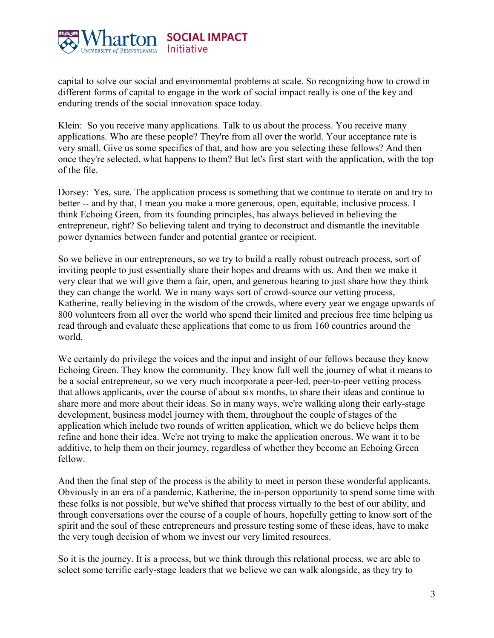

capital to solve our social and environmental problems at scale. So recognizing how to crowd in different forms of capital to engage in the work of social impact really is one of the key and enduring trends of the social innovation space today.

Klein: So you receive many applications. Talk to us about the process. You receive many applications. Who are these people? They're from all over the world. Your acceptance rate is very small. Give us some specifics of that, and how are you selecting these fellows? And then once they're selected, what happens to them? But let's first start with the application, with the top of the file.

Dorsey: Yes, sure. The application process is something that we continue to iterate on and try to better -- and by that, I mean you make a more generous, open, equitable, inclusive process. I think Echoing Green, from its founding principles, has always believed in believing the entrepreneur, right? So believing talent and trying to deconstruct and dismantle the inevitable power dynamics between funder and potential grantee or recipient.

So we believe in our entrepreneurs, so we try to build a really robust outreach process, sort of inviting people to just essentially share their hopes and dreams with us. And then we make it very clear that we will give them a fair, open, and generous hearing to just share how they think they can change the world. We in many ways sort of crowd-source our vetting process, Katherine, really believing in the wisdom of the crowds, where every year we engage upwards of 800 volunteers from all over the world who spend their limited and precious free time helping us read through and evaluate these applications that come to us from 160 countries around the world.

We certainly do privilege the voices and the input and insight of our fellows because they know Echoing Green. They know the community. They know full well the journey of what it means to be a social entrepreneur, so we very much incorporate a peer-led, peer-to-peer vetting process that allows applicants, over the course of about six months, to share their ideas and continue to share more and more about their ideas. So in many ways, we're walking along their early-stage development, business model journey with them, throughout the couple of stages of the application which include two rounds of written application, which we do believe helps them refine and hone their idea. We're not trying to make the application onerous. We want it to be additive, to help them on their journey, regardless of whether they become an Echoing Green fellow.

And then the final step of the process is the ability to meet in person these wonderful applicants. Obviously in an era of a pandemic, Katherine, the in-person opportunity to spend some time with these folks is not possible, but we've shifted that process virtually to the best of our ability, and through conversations over the course of a couple of hours, hopefully getting to know sort of the spirit and the soul of these entrepreneurs and pressure testing some of these ideas, have to make the very tough decision of whom we invest our very limited resources.

So it is the journey. It is a process, but we think through this relational process, we are able to select some terrific early-stage leaders that we believe we can walk alongside, as they try to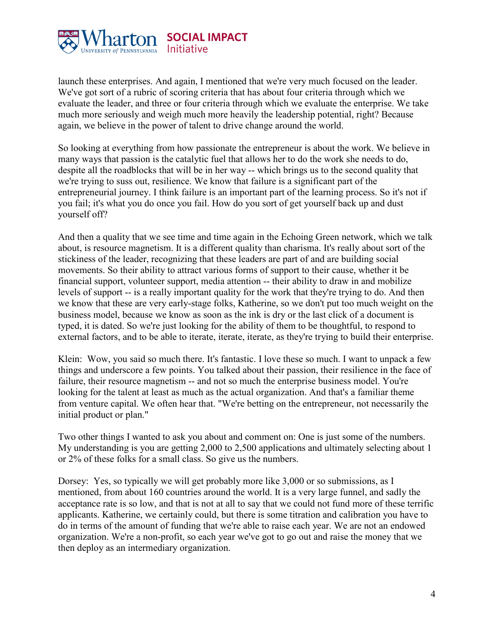

launch these enterprises. And again, I mentioned that we're very much focused on the leader. We've got sort of a rubric of scoring criteria that has about four criteria through which we evaluate the leader, and three or four criteria through which we evaluate the enterprise. We take much more seriously and weigh much more heavily the leadership potential, right? Because again, we believe in the power of talent to drive change around the world.

So looking at everything from how passionate the entrepreneur is about the work. We believe in many ways that passion is the catalytic fuel that allows her to do the work she needs to do, despite all the roadblocks that will be in her way -- which brings us to the second quality that we're trying to suss out, resilience. We know that failure is a significant part of the entrepreneurial journey. I think failure is an important part of the learning process. So it's not if you fail; it's what you do once you fail. How do you sort of get yourself back up and dust yourself off?

And then a quality that we see time and time again in the Echoing Green network, which we talk about, is resource magnetism. It is a different quality than charisma. It's really about sort of the stickiness of the leader, recognizing that these leaders are part of and are building social movements. So their ability to attract various forms of support to their cause, whether it be financial support, volunteer support, media attention -- their ability to draw in and mobilize levels of support -- is a really important quality for the work that they're trying to do. And then we know that these are very early-stage folks, Katherine, so we don't put too much weight on the business model, because we know as soon as the ink is dry or the last click of a document is typed, it is dated. So we're just looking for the ability of them to be thoughtful, to respond to external factors, and to be able to iterate, iterate, iterate, as they're trying to build their enterprise.

Klein: Wow, you said so much there. It's fantastic. I love these so much. I want to unpack a few things and underscore a few points. You talked about their passion, their resilience in the face of failure, their resource magnetism -- and not so much the enterprise business model. You're looking for the talent at least as much as the actual organization. And that's a familiar theme from venture capital. We often hear that. "We're betting on the entrepreneur, not necessarily the initial product or plan."

Two other things I wanted to ask you about and comment on: One is just some of the numbers. My understanding is you are getting 2,000 to 2,500 applications and ultimately selecting about 1 or 2% of these folks for a small class. So give us the numbers.

Dorsey: Yes, so typically we will get probably more like 3,000 or so submissions, as I mentioned, from about 160 countries around the world. It is a very large funnel, and sadly the acceptance rate is so low, and that is not at all to say that we could not fund more of these terrific applicants. Katherine, we certainly could, but there is some titration and calibration you have to do in terms of the amount of funding that we're able to raise each year. We are not an endowed organization. We're a non-profit, so each year we've got to go out and raise the money that we then deploy as an intermediary organization.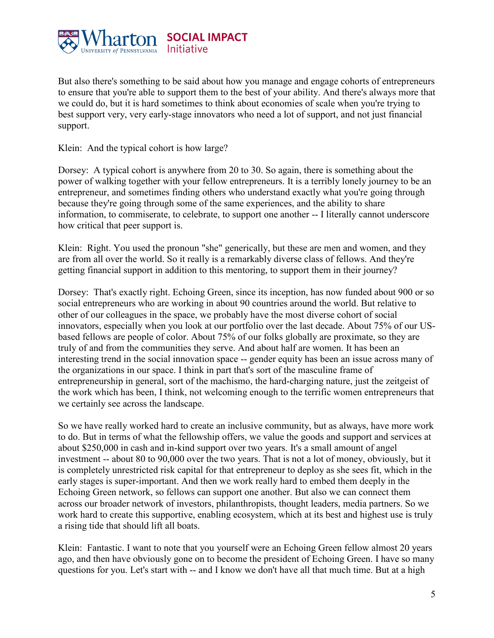

But also there's something to be said about how you manage and engage cohorts of entrepreneurs to ensure that you're able to support them to the best of your ability. And there's always more that we could do, but it is hard sometimes to think about economies of scale when you're trying to best support very, very early-stage innovators who need a lot of support, and not just financial support.

Klein: And the typical cohort is how large?

Dorsey: A typical cohort is anywhere from 20 to 30. So again, there is something about the power of walking together with your fellow entrepreneurs. It is a terribly lonely journey to be an entrepreneur, and sometimes finding others who understand exactly what you're going through because they're going through some of the same experiences, and the ability to share information, to commiserate, to celebrate, to support one another -- I literally cannot underscore how critical that peer support is.

Klein: Right. You used the pronoun "she" generically, but these are men and women, and they are from all over the world. So it really is a remarkably diverse class of fellows. And they're getting financial support in addition to this mentoring, to support them in their journey?

Dorsey: That's exactly right. Echoing Green, since its inception, has now funded about 900 or so social entrepreneurs who are working in about 90 countries around the world. But relative to other of our colleagues in the space, we probably have the most diverse cohort of social innovators, especially when you look at our portfolio over the last decade. About 75% of our USbased fellows are people of color. About 75% of our folks globally are proximate, so they are truly of and from the communities they serve. And about half are women. It has been an interesting trend in the social innovation space -- gender equity has been an issue across many of the organizations in our space. I think in part that's sort of the masculine frame of entrepreneurship in general, sort of the machismo, the hard-charging nature, just the zeitgeist of the work which has been, I think, not welcoming enough to the terrific women entrepreneurs that we certainly see across the landscape.

So we have really worked hard to create an inclusive community, but as always, have more work to do. But in terms of what the fellowship offers, we value the goods and support and services at about \$250,000 in cash and in-kind support over two years. It's a small amount of angel investment -- about 80 to 90,000 over the two years. That is not a lot of money, obviously, but it is completely unrestricted risk capital for that entrepreneur to deploy as she sees fit, which in the early stages is super-important. And then we work really hard to embed them deeply in the Echoing Green network, so fellows can support one another. But also we can connect them across our broader network of investors, philanthropists, thought leaders, media partners. So we work hard to create this supportive, enabling ecosystem, which at its best and highest use is truly a rising tide that should lift all boats.

Klein: Fantastic. I want to note that you yourself were an Echoing Green fellow almost 20 years ago, and then have obviously gone on to become the president of Echoing Green. I have so many questions for you. Let's start with -- and I know we don't have all that much time. But at a high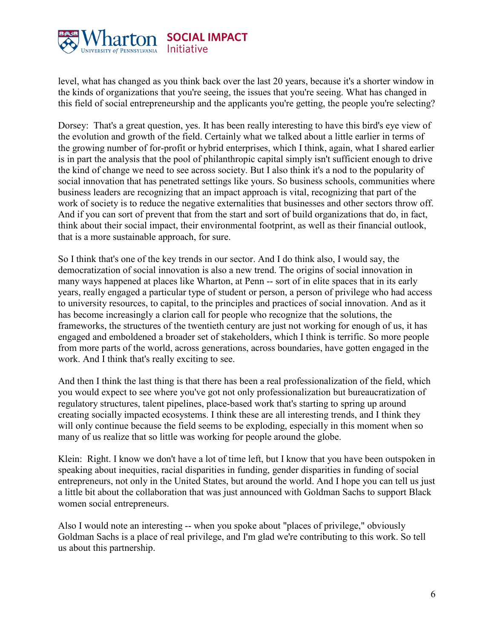

level, what has changed as you think back over the last 20 years, because it's a shorter window in the kinds of organizations that you're seeing, the issues that you're seeing. What has changed in this field of social entrepreneurship and the applicants you're getting, the people you're selecting?

Dorsey: That's a great question, yes. It has been really interesting to have this bird's eye view of the evolution and growth of the field. Certainly what we talked about a little earlier in terms of the growing number of for-profit or hybrid enterprises, which I think, again, what I shared earlier is in part the analysis that the pool of philanthropic capital simply isn't sufficient enough to drive the kind of change we need to see across society. But I also think it's a nod to the popularity of social innovation that has penetrated settings like yours. So business schools, communities where business leaders are recognizing that an impact approach is vital, recognizing that part of the work of society is to reduce the negative externalities that businesses and other sectors throw off. And if you can sort of prevent that from the start and sort of build organizations that do, in fact, think about their social impact, their environmental footprint, as well as their financial outlook, that is a more sustainable approach, for sure.

So I think that's one of the key trends in our sector. And I do think also, I would say, the democratization of social innovation is also a new trend. The origins of social innovation in many ways happened at places like Wharton, at Penn -- sort of in elite spaces that in its early years, really engaged a particular type of student or person, a person of privilege who had access to university resources, to capital, to the principles and practices of social innovation. And as it has become increasingly a clarion call for people who recognize that the solutions, the frameworks, the structures of the twentieth century are just not working for enough of us, it has engaged and emboldened a broader set of stakeholders, which I think is terrific. So more people from more parts of the world, across generations, across boundaries, have gotten engaged in the work. And I think that's really exciting to see.

And then I think the last thing is that there has been a real professionalization of the field, which you would expect to see where you've got not only professionalization but bureaucratization of regulatory structures, talent pipelines, place-based work that's starting to spring up around creating socially impacted ecosystems. I think these are all interesting trends, and I think they will only continue because the field seems to be exploding, especially in this moment when so many of us realize that so little was working for people around the globe.

Klein: Right. I know we don't have a lot of time left, but I know that you have been outspoken in speaking about inequities, racial disparities in funding, gender disparities in funding of social entrepreneurs, not only in the United States, but around the world. And I hope you can tell us just a little bit about the collaboration that was just announced with Goldman Sachs to support Black women social entrepreneurs.

Also I would note an interesting -- when you spoke about "places of privilege," obviously Goldman Sachs is a place of real privilege, and I'm glad we're contributing to this work. So tell us about this partnership.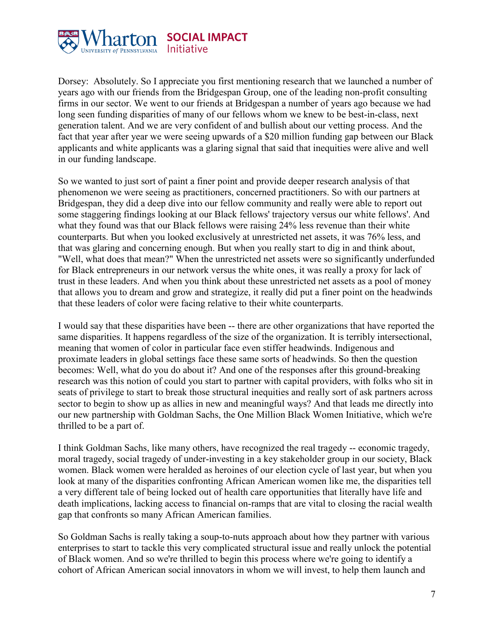

Dorsey: Absolutely. So I appreciate you first mentioning research that we launched a number of years ago with our friends from the Bridgespan Group, one of the leading non-profit consulting firms in our sector. We went to our friends at Bridgespan a number of years ago because we had long seen funding disparities of many of our fellows whom we knew to be best-in-class, next generation talent. And we are very confident of and bullish about our vetting process. And the fact that year after year we were seeing upwards of a \$20 million funding gap between our Black applicants and white applicants was a glaring signal that said that inequities were alive and well in our funding landscape.

So we wanted to just sort of paint a finer point and provide deeper research analysis of that phenomenon we were seeing as practitioners, concerned practitioners. So with our partners at Bridgespan, they did a deep dive into our fellow community and really were able to report out some staggering findings looking at our Black fellows' trajectory versus our white fellows'. And what they found was that our Black fellows were raising 24% less revenue than their white counterparts. But when you looked exclusively at unrestricted net assets, it was 76% less, and that was glaring and concerning enough. But when you really start to dig in and think about, "Well, what does that mean?" When the unrestricted net assets were so significantly underfunded for Black entrepreneurs in our network versus the white ones, it was really a proxy for lack of trust in these leaders. And when you think about these unrestricted net assets as a pool of money that allows you to dream and grow and strategize, it really did put a finer point on the headwinds that these leaders of color were facing relative to their white counterparts.

I would say that these disparities have been -- there are other organizations that have reported the same disparities. It happens regardless of the size of the organization. It is terribly intersectional, meaning that women of color in particular face even stiffer headwinds. Indigenous and proximate leaders in global settings face these same sorts of headwinds. So then the question becomes: Well, what do you do about it? And one of the responses after this ground-breaking research was this notion of could you start to partner with capital providers, with folks who sit in seats of privilege to start to break those structural inequities and really sort of ask partners across sector to begin to show up as allies in new and meaningful ways? And that leads me directly into our new partnership with Goldman Sachs, the One Million Black Women Initiative, which we're thrilled to be a part of.

I think Goldman Sachs, like many others, have recognized the real tragedy -- economic tragedy, moral tragedy, social tragedy of under-investing in a key stakeholder group in our society, Black women. Black women were heralded as heroines of our election cycle of last year, but when you look at many of the disparities confronting African American women like me, the disparities tell a very different tale of being locked out of health care opportunities that literally have life and death implications, lacking access to financial on-ramps that are vital to closing the racial wealth gap that confronts so many African American families.

So Goldman Sachs is really taking a soup-to-nuts approach about how they partner with various enterprises to start to tackle this very complicated structural issue and really unlock the potential of Black women. And so we're thrilled to begin this process where we're going to identify a cohort of African American social innovators in whom we will invest, to help them launch and